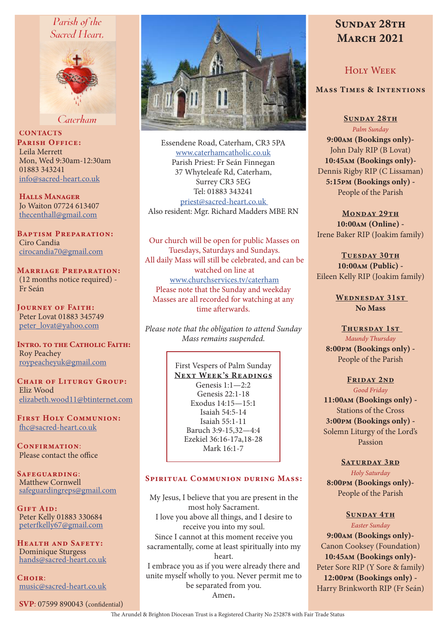## Parish of the Sacred Heart.



Caterham

**CONTACTS** PARISH OFFICE: Leila Merrett Mon, Wed 9:30am-12:30am 01883 343241 info@sacred-heart.co.uk

Halls Manager Jo Waiton 07724 613407 thecenthall@gmail.com

Baptism Preparation: Ciro Candia cirocandia70@gmail.com

Marriage Preparation: (12 months notice required) - Fr Seán

Journey of Faith: Peter Lovat 01883 345749 peter\_lovat@yahoo.com

INTRO. TO THE CATHOLIC FAITH: Roy Peachey roypeacheyuk@gmail.com

CHAIR OF LITURGY GROUP: Eliz Wood elizabeth.wood11@btinternet.com

First Holy Communion: fhc@sacred-heart.co.uk

CONFIRMATION: Please contact the office

SAFEGUARDING: Matthew Cornwell safeguardingreps@gmail.com

Gift Aid: Peter Kelly 01883 330684 peterfkelly67@gmail.com

Health and Safety: Dominique Sturgess hands@sacred-heart.co.uk

 $C$ HOIR $\cdot$ music@sacred-heart.co.uk

SVP: 07599 890043 (confidential)



Essendene Road, Caterham, CR3 5PA www.caterhamcatholic.co.uk Parish Priest: Fr Seán Finnegan 37 Whyteleafe Rd, Caterham, Surrey CR3 5EG Tel: 01883 343241 priest@sacred-heart.co.uk Also resident: Mgr. Richard Madders MBE RN

Our church will be open for public Masses on Tuesdays, Saturdays and Sundays. All daily Mass will still be celebrated, and can be watched on line at www.churchservices.tv/caterham Please note that the Sunday and weekday Masses are all recorded for watching at any time afterwards.

*Please note that the obligation to attend Sunday Mass remains suspended.*

### First Vespers of Palm Sunday

NEXT WEEK'S READINGS Genesis 1:1—2:2 Genesis 22:1-18 Exodus 14:15—15:1 Isaiah 54:5-14 Isaiah 55:1-11 Baruch 3:9-15,32—4:4 Ezekiel 36:16-17a,18-28 Mark 16:1-7

#### Spiritual Communion during Mass:

My Jesus, I believe that you are present in the most holy Sacrament. I love you above all things, and I desire to receive you into my soul. Since I cannot at this moment receive you sacramentally, come at least spiritually into my heart. I embrace you as if you were already there and unite myself wholly to you. Never permit me to be separated from you. Amen.

# SUNDAY 28TH **MARCH 2021**

## Holy Week

## Mass Times & Intentions

SUNDAY 28TH *Palm Sunday* 9:00am (Bookings only)- John Daly RIP (B Lovat) 10:45am (Bookings only)- Dennis Rigby RIP (C Lissaman) 5:15pm (Bookings only) - People of the Parish

MONDAY 29TH 10:00am (Online) - Irene Baker RIP (Joakim family)

TUESDAY 30TH 10:00am (Public) - Eileen Kelly RIP (Joakim family)

> WEDNESDAY 31ST No Mass

THURSDAY 1ST *Maundy Thursday* 8:00pm (Bookings only) - People of the Parish

## FRIDAY 2ND

*Good Friday* 11:00am (Bookings only) - Stations of the Cross 3:00pm (Bookings only) - Solemn Liturgy of the Lord's Passion

#### SATURDAY 3RD

*Holy Saturday* 8:00pm (Bookings only)- People of the Parish

#### SUNDAY 4TH

*Easter Sunday* 9:00am (Bookings only)- Canon Cooksey (Foundation) 10:45am (Bookings only)- Peter Sore RIP (Y Sore & family) 12:00pm (Bookings only) - Harry Brinkworth RIP (Fr Seán)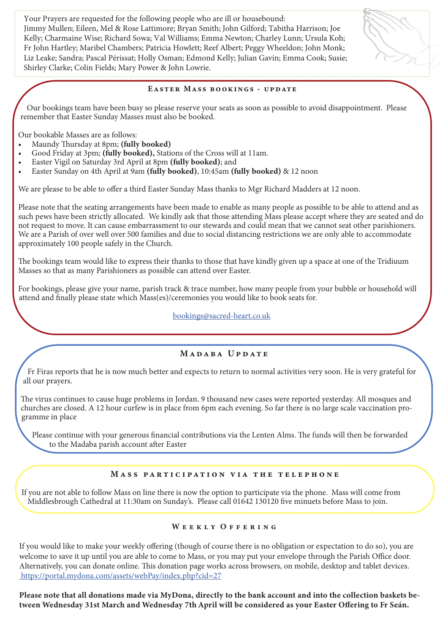Your Prayers are requested for the following people who are ill or housebound: Jimmy Mullen; Eileen, Mel & Rose Lattimore; Bryan Smith; John Gilford; Tabitha Harrison; Joe Kelly; Charmaine Wise; Richard Sowa; Val Williams; Emma Newton; Charley Lunn; Ursula Koh; Fr John Hartley; Maribel Chambers; Patricia Howlett; Reef Albert; Peggy Wheeldon; John Monk; Liz Leake; Sandra; Pascal Périssat; Holly Osman; Edmond Kelly; Julian Gavin; Emma Cook; Susie; Shirley Clarke; Colin Fields; Mary Power & John Lowrie.

### Easter Mass bookings - update

 Our bookings team have been busy so please reserve your seats as soon as possible to avoid disappointment. Please remember that Easter Sunday Masses must also be booked.

Our bookable Masses are as follows:

- Maundy Thursday at 8pm; (fully booked)
- Good Friday at 3pm; (fully booked), Stations of the Cross will at 11am.
- Easter Vigil on Saturday 3rd April at 8pm (fully booked); and
- Easter Sunday on 4th April at 9am (fully booked), 10:45am (fully booked) & 12 noon

We are please to be able to offer a third Easter Sunday Mass thanks to Mgr Richard Madders at 12 noon.

Please note that the seating arrangements have been made to enable as many people as possible to be able to attend and as such pews have been strictly allocated. We kindly ask that those attending Mass please accept where they are seated and do not request to move. It can cause embarrassment to our stewards and could mean that we cannot seat other parishioners. We are a Parish of over well over 500 families and due to social distancing restrictions we are only able to accommodate approximately 100 people safely in the Church.

The bookings team would like to express their thanks to those that have kindly given up a space at one of the Tridiuum Masses so that as many Parishioners as possible can attend over Easter.

For bookings, please give your name, parish track & trace number, how many people from your bubble or household will attend and finally please state which Mass(es)/ceremonies you would like to book seats for.

bookings@sacred-heart.co.uk

## MADARA UPDATE

Fr Firas reports that he is now much better and expects to return to normal activities very soon. He is very grateful for all our prayers.

The virus continues to cause huge problems in Jordan. 9 thousand new cases were reported yesterday. All mosques and churches are closed. A 12 hour curfew is in place from 6pm each evening. So far there is no large scale vaccination programme in place

Please continue with your generous financial contributions via the Lenten Alms. The funds will then be forwarded to the Madaba parish account after Easter

## Mass participation via the telephone

If you are not able to follow Mass on line there is now the option to participate via the phone. Mass will come from Middlesbrough Cathedral at 11:30am on Sunday's. Please call 01642 130120 five minuets before Mass to join.

### WEEKLY OFFERING

If you would like to make your weekly offering (though of course there is no obligation or expectation to do so), you are welcome to save it up until you are able to come to Mass, or you may put your envelope through the Parish Office door. Alternatively, you can donate online. This donation page works across browsers, on mobile, desktop and tablet devices. https://portal.mydona.com/assets/webPay/index.php?cid=27

Please note that all donations made via MyDona, directly to the bank account and into the collection baskets between Wednesday 31st March and Wednesday 7th April will be considered as your Easter Offering to Fr Seán.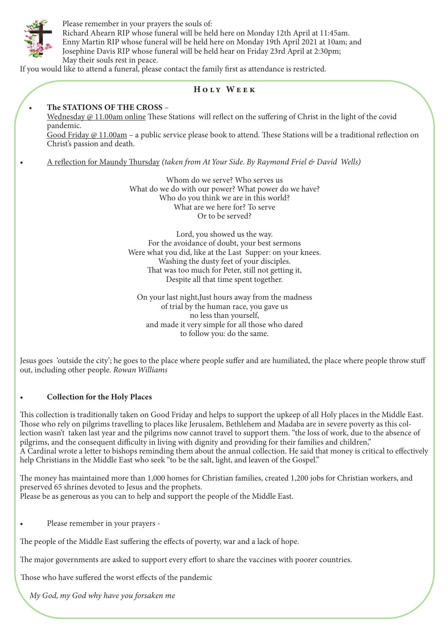

Please remember in your prayers the souls of: Richard Ahearn RIP whose funeral will be held here on Monday 12th April at 11:45am. Enny Martin RIP whose funeral will be held here on Monday 19th April 2021 at 10am; and Josephine Davis RIP whose funeral will be held hear on Friday 23rd April at 2:30pm; May their souls rest in peace.

If you would like to attend a funeral, please contact the family first as attendance is restricted.

## Holy Week

#### • The STATIONS OF THE CROSS –

Wednesday @ 11.00am online These Stations will reflect on the suffering of Christ in the light of the covid pandemic.

Good Friday @ 11.00am – a public service please book to attend. These Stations will be a traditional reflection on Christ's passion and death.

• A reflection for Maundy Thursday *(taken from At Your Side. By Raymond Friel & David Wells)*

Whom do we serve? Who serves us What do we do with our power? What power do we have? Who do you think we are in this world? What are we here for? To serve Or to be served?

Lord, you showed us the way. For the avoidance of doubt, your best sermons Were what you did, like at the Last Supper: on your knees. Washing the dusty feet of your disciples. That was too much for Peter, still not getting it, Despite all that time spent together.

On your last night,Just hours away from the madness of trial by the human race, you gave us no less than yourself, and made it very simple for all those who dared to follow you: do the same.

Jesus goes 'outside the city'; he goes to the place where people suffer and are humiliated, the place where people throw stuff out, including other people. *Rowan Williams*

## • Collection for the Holy Places

This collection is traditionally taken on Good Friday and helps to support the upkeep of all Holy places in the Middle East. Those who rely on pilgrims travelling to places like Jerusalem, Bethlehem and Madaba are in severe poverty as this collection wasn't taken last year and the pilgrims now cannot travel to support them. "the loss of work, due to the absence of pilgrims, and the consequent difficulty in living with dignity and providing for their families and children," A Cardinal wrote a letter to bishops reminding them about the annual collection. He said that money is critical to effectively help Christians in the Middle East who seek "to be the salt, light, and leaven of the Gospel."

The money has maintained more than 1,000 homes for Christian families, created 1,200 jobs for Christian workers, and preserved 65 shrines devoted to Jesus and the prophets. Please be as generous as you can to help and support the people of the Middle East.

• Please remember in your prayers -

The people of the Middle East suffering the effects of poverty, war and a lack of hope.

The major governments are asked to support every effort to share the vaccines with poorer countries.

Those who have suffered the worst effects of the pandemic

*My God, my God why have you forsaken me*